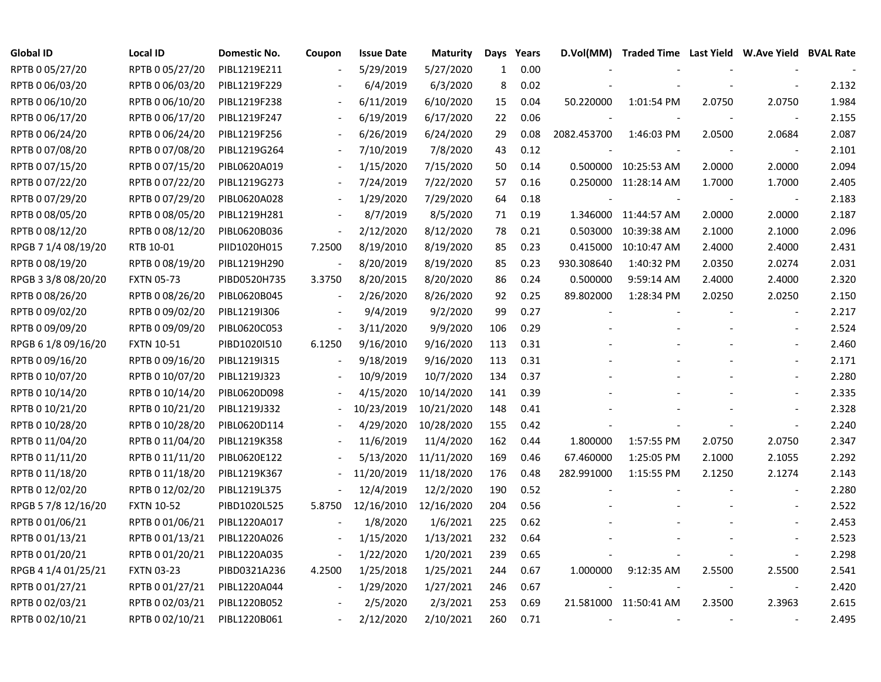| <b>Global ID</b>    | <b>Local ID</b>   | Domestic No. | Coupon                   | <b>Issue Date</b> | <b>Maturity</b> | Days         | Years | D.Vol(MM)   | Traded Time Last Yield W.Ave Yield BVAL Rate |        |                          |       |
|---------------------|-------------------|--------------|--------------------------|-------------------|-----------------|--------------|-------|-------------|----------------------------------------------|--------|--------------------------|-------|
| RPTB 0 05/27/20     | RPTB 0 05/27/20   | PIBL1219E211 |                          | 5/29/2019         | 5/27/2020       | $\mathbf{1}$ | 0.00  |             |                                              |        |                          |       |
| RPTB 0 06/03/20     | RPTB 0 06/03/20   | PIBL1219F229 |                          | 6/4/2019          | 6/3/2020        | 8            | 0.02  |             |                                              |        |                          | 2.132 |
| RPTB 0 06/10/20     | RPTB 0 06/10/20   | PIBL1219F238 |                          | 6/11/2019         | 6/10/2020       | 15           | 0.04  | 50.220000   | 1:01:54 PM                                   | 2.0750 | 2.0750                   | 1.984 |
| RPTB 0 06/17/20     | RPTB 0 06/17/20   | PIBL1219F247 |                          | 6/19/2019         | 6/17/2020       | 22           | 0.06  |             |                                              |        | $\overline{\phantom{a}}$ | 2.155 |
| RPTB 0 06/24/20     | RPTB 0 06/24/20   | PIBL1219F256 | $\blacksquare$           | 6/26/2019         | 6/24/2020       | 29           | 0.08  | 2082.453700 | 1:46:03 PM                                   | 2.0500 | 2.0684                   | 2.087 |
| RPTB 0 07/08/20     | RPTB 0 07/08/20   | PIBL1219G264 | $\overline{\phantom{a}}$ | 7/10/2019         | 7/8/2020        | 43           | 0.12  |             |                                              |        | $\blacksquare$           | 2.101 |
| RPTB 0 07/15/20     | RPTB 0 07/15/20   | PIBL0620A019 |                          | 1/15/2020         | 7/15/2020       | 50           | 0.14  |             | 0.500000 10:25:53 AM                         | 2.0000 | 2.0000                   | 2.094 |
| RPTB 0 07/22/20     | RPTB 0 07/22/20   | PIBL1219G273 |                          | 7/24/2019         | 7/22/2020       | 57           | 0.16  | 0.250000    | 11:28:14 AM                                  | 1.7000 | 1.7000                   | 2.405 |
| RPTB 0 07/29/20     | RPTB 0 07/29/20   | PIBL0620A028 |                          | 1/29/2020         | 7/29/2020       | 64           | 0.18  |             |                                              |        | $\overline{\phantom{a}}$ | 2.183 |
| RPTB 0 08/05/20     | RPTB 0 08/05/20   | PIBL1219H281 |                          | 8/7/2019          | 8/5/2020        | 71           | 0.19  |             | 1.346000 11:44:57 AM                         | 2.0000 | 2.0000                   | 2.187 |
| RPTB 0 08/12/20     | RPTB 0 08/12/20   | PIBL0620B036 | $\overline{\phantom{a}}$ | 2/12/2020         | 8/12/2020       | 78           | 0.21  | 0.503000    | 10:39:38 AM                                  | 2.1000 | 2.1000                   | 2.096 |
| RPGB 7 1/4 08/19/20 | RTB 10-01         | PIID1020H015 | 7.2500                   | 8/19/2010         | 8/19/2020       | 85           | 0.23  | 0.415000    | 10:10:47 AM                                  | 2.4000 | 2.4000                   | 2.431 |
| RPTB 0 08/19/20     | RPTB 0 08/19/20   | PIBL1219H290 | $\overline{\phantom{a}}$ | 8/20/2019         | 8/19/2020       | 85           | 0.23  | 930.308640  | 1:40:32 PM                                   | 2.0350 | 2.0274                   | 2.031 |
| RPGB 3 3/8 08/20/20 | <b>FXTN 05-73</b> | PIBD0520H735 | 3.3750                   | 8/20/2015         | 8/20/2020       | 86           | 0.24  | 0.500000    | 9:59:14 AM                                   | 2.4000 | 2.4000                   | 2.320 |
| RPTB 0 08/26/20     | RPTB 0 08/26/20   | PIBL0620B045 |                          | 2/26/2020         | 8/26/2020       | 92           | 0.25  | 89.802000   | 1:28:34 PM                                   | 2.0250 | 2.0250                   | 2.150 |
| RPTB 0 09/02/20     | RPTB 0 09/02/20   | PIBL1219I306 |                          | 9/4/2019          | 9/2/2020        | 99           | 0.27  |             |                                              |        |                          | 2.217 |
| RPTB 0 09/09/20     | RPTB 0 09/09/20   | PIBL0620C053 | $\overline{\phantom{a}}$ | 3/11/2020         | 9/9/2020        | 106          | 0.29  |             |                                              |        |                          | 2.524 |
| RPGB 6 1/8 09/16/20 | <b>FXTN 10-51</b> | PIBD1020I510 | 6.1250                   | 9/16/2010         | 9/16/2020       | 113          | 0.31  |             |                                              |        |                          | 2.460 |
| RPTB 0 09/16/20     | RPTB 0 09/16/20   | PIBL1219I315 | $\blacksquare$           | 9/18/2019         | 9/16/2020       | 113          | 0.31  |             |                                              |        |                          | 2.171 |
| RPTB 0 10/07/20     | RPTB 0 10/07/20   | PIBL1219J323 | $\overline{\phantom{a}}$ | 10/9/2019         | 10/7/2020       | 134          | 0.37  |             |                                              |        |                          | 2.280 |
| RPTB 0 10/14/20     | RPTB 0 10/14/20   | PIBL0620D098 |                          | 4/15/2020         | 10/14/2020      | 141          | 0.39  |             |                                              |        |                          | 2.335 |
| RPTB 0 10/21/20     | RPTB 0 10/21/20   | PIBL1219J332 |                          | 10/23/2019        | 10/21/2020      | 148          | 0.41  |             |                                              |        |                          | 2.328 |
| RPTB 0 10/28/20     | RPTB 0 10/28/20   | PIBL0620D114 |                          | 4/29/2020         | 10/28/2020      | 155          | 0.42  |             |                                              |        | $\blacksquare$           | 2.240 |
| RPTB 0 11/04/20     | RPTB 0 11/04/20   | PIBL1219K358 |                          | 11/6/2019         | 11/4/2020       | 162          | 0.44  | 1.800000    | 1:57:55 PM                                   | 2.0750 | 2.0750                   | 2.347 |
| RPTB 0 11/11/20     | RPTB 0 11/11/20   | PIBL0620E122 |                          | 5/13/2020         | 11/11/2020      | 169          | 0.46  | 67.460000   | 1:25:05 PM                                   | 2.1000 | 2.1055                   | 2.292 |
| RPTB 0 11/18/20     | RPTB 0 11/18/20   | PIBL1219K367 |                          | 11/20/2019        | 11/18/2020      | 176          | 0.48  | 282.991000  | 1:15:55 PM                                   | 2.1250 | 2.1274                   | 2.143 |
| RPTB 0 12/02/20     | RPTB 0 12/02/20   | PIBL1219L375 |                          | 12/4/2019         | 12/2/2020       | 190          | 0.52  |             |                                              |        |                          | 2.280 |
| RPGB 5 7/8 12/16/20 | <b>FXTN 10-52</b> | PIBD1020L525 | 5.8750                   | 12/16/2010        | 12/16/2020      | 204          | 0.56  |             |                                              |        |                          | 2.522 |
| RPTB 0 01/06/21     | RPTB 0 01/06/21   | PIBL1220A017 |                          | 1/8/2020          | 1/6/2021        | 225          | 0.62  |             |                                              |        |                          | 2.453 |
| RPTB 0 01/13/21     | RPTB 0 01/13/21   | PIBL1220A026 |                          | 1/15/2020         | 1/13/2021       | 232          | 0.64  |             |                                              |        |                          | 2.523 |
| RPTB 0 01/20/21     | RPTB 0 01/20/21   | PIBL1220A035 | $\frac{1}{2}$            | 1/22/2020         | 1/20/2021       | 239          | 0.65  |             |                                              |        |                          | 2.298 |
| RPGB 4 1/4 01/25/21 | <b>FXTN 03-23</b> | PIBD0321A236 | 4.2500                   | 1/25/2018         | 1/25/2021       | 244          | 0.67  | 1.000000    | 9:12:35 AM                                   | 2.5500 | 2.5500                   | 2.541 |
| RPTB 0 01/27/21     | RPTB 0 01/27/21   | PIBL1220A044 | $\sim$                   | 1/29/2020         | 1/27/2021       | 246          | 0.67  |             |                                              |        | $\blacksquare$           | 2.420 |
| RPTB 0 02/03/21     | RPTB 0 02/03/21   | PIBL1220B052 |                          | 2/5/2020          | 2/3/2021        | 253          | 0.69  |             | 21.581000 11:50:41 AM                        | 2.3500 | 2.3963                   | 2.615 |
| RPTB 0 02/10/21     | RPTB 0 02/10/21   | PIBL1220B061 |                          | 2/12/2020         | 2/10/2021       | 260          | 0.71  |             |                                              |        |                          | 2.495 |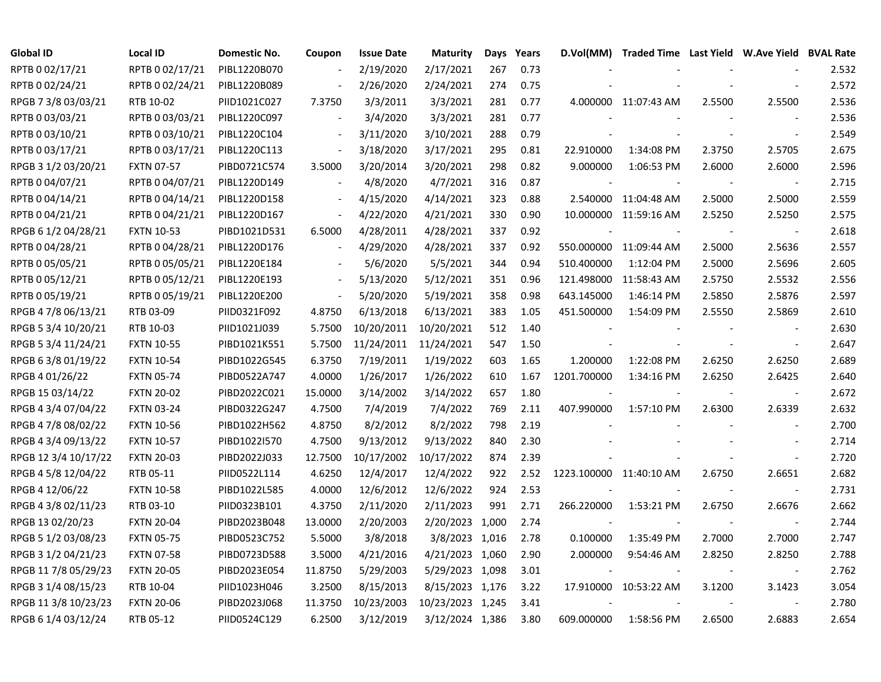| Global ID            | Local ID          | Domestic No. | Coupon                   | <b>Issue Date</b> | <b>Maturity</b>  |     | Days Years |                          | D.Vol(MM) Traded Time Last Yield W.Ave Yield BVAL Rate |        |                          |       |
|----------------------|-------------------|--------------|--------------------------|-------------------|------------------|-----|------------|--------------------------|--------------------------------------------------------|--------|--------------------------|-------|
| RPTB 0 02/17/21      | RPTB 0 02/17/21   | PIBL1220B070 |                          | 2/19/2020         | 2/17/2021        | 267 | 0.73       |                          |                                                        |        |                          | 2.532 |
| RPTB 0 02/24/21      | RPTB 0 02/24/21   | PIBL1220B089 |                          | 2/26/2020         | 2/24/2021        | 274 | 0.75       |                          |                                                        |        |                          | 2.572 |
| RPGB 7 3/8 03/03/21  | RTB 10-02         | PIID1021C027 | 7.3750                   | 3/3/2011          | 3/3/2021         | 281 | 0.77       |                          | 4.000000 11:07:43 AM                                   | 2.5500 | 2.5500                   | 2.536 |
| RPTB 0 03/03/21      | RPTB 0 03/03/21   | PIBL1220C097 | $\sim$                   | 3/4/2020          | 3/3/2021         | 281 | 0.77       |                          |                                                        |        | $\overline{\phantom{a}}$ | 2.536 |
| RPTB 0 03/10/21      | RPTB 0 03/10/21   | PIBL1220C104 | $\blacksquare$           | 3/11/2020         | 3/10/2021        | 288 | 0.79       |                          |                                                        |        | $\overline{\phantom{a}}$ | 2.549 |
| RPTB 0 03/17/21      | RPTB 0 03/17/21   | PIBL1220C113 | $\blacksquare$           | 3/18/2020         | 3/17/2021        | 295 | 0.81       | 22.910000                | 1:34:08 PM                                             | 2.3750 | 2.5705                   | 2.675 |
| RPGB 3 1/2 03/20/21  | <b>FXTN 07-57</b> | PIBD0721C574 | 3.5000                   | 3/20/2014         | 3/20/2021        | 298 | 0.82       | 9.000000                 | 1:06:53 PM                                             | 2.6000 | 2.6000                   | 2.596 |
| RPTB 0 04/07/21      | RPTB 0 04/07/21   | PIBL1220D149 |                          | 4/8/2020          | 4/7/2021         | 316 | 0.87       |                          |                                                        |        | $\overline{\phantom{a}}$ | 2.715 |
| RPTB 0 04/14/21      | RPTB 0 04/14/21   | PIBL1220D158 | $\overline{\phantom{a}}$ | 4/15/2020         | 4/14/2021        | 323 | 0.88       |                          | 2.540000 11:04:48 AM                                   | 2.5000 | 2.5000                   | 2.559 |
| RPTB 0 04/21/21      | RPTB 0 04/21/21   | PIBL1220D167 | $\overline{\phantom{a}}$ | 4/22/2020         | 4/21/2021        | 330 | 0.90       |                          | 10.000000 11:59:16 AM                                  | 2.5250 | 2.5250                   | 2.575 |
| RPGB 6 1/2 04/28/21  | <b>FXTN 10-53</b> | PIBD1021D531 | 6.5000                   | 4/28/2011         | 4/28/2021        | 337 | 0.92       | $\overline{\phantom{a}}$ |                                                        |        | $\overline{\phantom{a}}$ | 2.618 |
| RPTB 0 04/28/21      | RPTB 0 04/28/21   | PIBL1220D176 | $\blacksquare$           | 4/29/2020         | 4/28/2021        | 337 | 0.92       |                          | 550.000000 11:09:44 AM                                 | 2.5000 | 2.5636                   | 2.557 |
| RPTB 0 05/05/21      | RPTB 0 05/05/21   | PIBL1220E184 |                          | 5/6/2020          | 5/5/2021         | 344 | 0.94       | 510.400000               | 1:12:04 PM                                             | 2.5000 | 2.5696                   | 2.605 |
| RPTB 0 05/12/21      | RPTB 0 05/12/21   | PIBL1220E193 | $\overline{\phantom{a}}$ | 5/13/2020         | 5/12/2021        | 351 | 0.96       | 121.498000               | 11:58:43 AM                                            | 2.5750 | 2.5532                   | 2.556 |
| RPTB 0 05/19/21      | RPTB 0 05/19/21   | PIBL1220E200 | $\overline{\phantom{a}}$ | 5/20/2020         | 5/19/2021        | 358 | 0.98       | 643.145000               | 1:46:14 PM                                             | 2.5850 | 2.5876                   | 2.597 |
| RPGB 4 7/8 06/13/21  | RTB 03-09         | PIID0321F092 | 4.8750                   | 6/13/2018         | 6/13/2021        | 383 | 1.05       | 451.500000               | 1:54:09 PM                                             | 2.5550 | 2.5869                   | 2.610 |
| RPGB 5 3/4 10/20/21  | RTB 10-03         | PIID1021J039 | 5.7500                   | 10/20/2011        | 10/20/2021       | 512 | 1.40       |                          |                                                        |        |                          | 2.630 |
| RPGB 5 3/4 11/24/21  | <b>FXTN 10-55</b> | PIBD1021K551 | 5.7500                   | 11/24/2011        | 11/24/2021       | 547 | 1.50       |                          |                                                        |        | $\overline{\phantom{a}}$ | 2.647 |
| RPGB 6 3/8 01/19/22  | <b>FXTN 10-54</b> | PIBD1022G545 | 6.3750                   | 7/19/2011         | 1/19/2022        | 603 | 1.65       | 1.200000                 | 1:22:08 PM                                             | 2.6250 | 2.6250                   | 2.689 |
| RPGB 4 01/26/22      | <b>FXTN 05-74</b> | PIBD0522A747 | 4.0000                   | 1/26/2017         | 1/26/2022        | 610 | 1.67       | 1201.700000              | 1:34:16 PM                                             | 2.6250 | 2.6425                   | 2.640 |
| RPGB 15 03/14/22     | <b>FXTN 20-02</b> | PIBD2022C021 | 15.0000                  | 3/14/2002         | 3/14/2022        | 657 | 1.80       |                          |                                                        |        | $\overline{\phantom{a}}$ | 2.672 |
| RPGB 4 3/4 07/04/22  | <b>FXTN 03-24</b> | PIBD0322G247 | 4.7500                   | 7/4/2019          | 7/4/2022         | 769 | 2.11       | 407.990000               | 1:57:10 PM                                             | 2.6300 | 2.6339                   | 2.632 |
| RPGB 4 7/8 08/02/22  | <b>FXTN 10-56</b> | PIBD1022H562 | 4.8750                   | 8/2/2012          | 8/2/2022         | 798 | 2.19       |                          |                                                        |        | $\overline{\phantom{a}}$ | 2.700 |
| RPGB 4 3/4 09/13/22  | <b>FXTN 10-57</b> | PIBD1022I570 | 4.7500                   | 9/13/2012         | 9/13/2022        | 840 | 2.30       |                          |                                                        |        | $\blacksquare$           | 2.714 |
| RPGB 12 3/4 10/17/22 | <b>FXTN 20-03</b> | PIBD2022J033 | 12.7500                  | 10/17/2002        | 10/17/2022       | 874 | 2.39       |                          |                                                        |        | $\blacksquare$           | 2.720 |
| RPGB 4 5/8 12/04/22  | RTB 05-11         | PIID0522L114 | 4.6250                   | 12/4/2017         | 12/4/2022        | 922 | 2.52       | 1223.100000 11:40:10 AM  |                                                        | 2.6750 | 2.6651                   | 2.682 |
| RPGB 4 12/06/22      | <b>FXTN 10-58</b> | PIBD1022L585 | 4.0000                   | 12/6/2012         | 12/6/2022        | 924 | 2.53       |                          |                                                        |        | $\sim$                   | 2.731 |
| RPGB 4 3/8 02/11/23  | RTB 03-10         | PIID0323B101 | 4.3750                   | 2/11/2020         | 2/11/2023        | 991 | 2.71       | 266.220000               | 1:53:21 PM                                             | 2.6750 | 2.6676                   | 2.662 |
| RPGB 13 02/20/23     | <b>FXTN 20-04</b> | PIBD2023B048 | 13.0000                  | 2/20/2003         | 2/20/2023 1,000  |     | 2.74       |                          |                                                        |        |                          | 2.744 |
| RPGB 5 1/2 03/08/23  | <b>FXTN 05-75</b> | PIBD0523C752 | 5.5000                   | 3/8/2018          | 3/8/2023 1,016   |     | 2.78       | 0.100000                 | 1:35:49 PM                                             | 2.7000 | 2.7000                   | 2.747 |
| RPGB 3 1/2 04/21/23  | <b>FXTN 07-58</b> | PIBD0723D588 | 3.5000                   | 4/21/2016         | 4/21/2023 1,060  |     | 2.90       | 2.000000                 | 9:54:46 AM                                             | 2.8250 | 2.8250                   | 2.788 |
| RPGB 11 7/8 05/29/23 | <b>FXTN 20-05</b> | PIBD2023E054 | 11.8750                  | 5/29/2003         | 5/29/2023 1,098  |     | 3.01       |                          |                                                        |        | $\overline{\phantom{a}}$ | 2.762 |
| RPGB 3 1/4 08/15/23  | RTB 10-04         | PIID1023H046 | 3.2500                   | 8/15/2013         | 8/15/2023 1,176  |     | 3.22       |                          | 17.910000 10:53:22 AM                                  | 3.1200 | 3.1423                   | 3.054 |
| RPGB 11 3/8 10/23/23 | <b>FXTN 20-06</b> | PIBD2023J068 | 11.3750                  | 10/23/2003        | 10/23/2023 1,245 |     | 3.41       |                          |                                                        |        |                          | 2.780 |
| RPGB 6 1/4 03/12/24  | RTB 05-12         | PIID0524C129 | 6.2500                   | 3/12/2019         | 3/12/2024 1,386  |     | 3.80       | 609.000000               | 1:58:56 PM                                             | 2.6500 | 2.6883                   | 2.654 |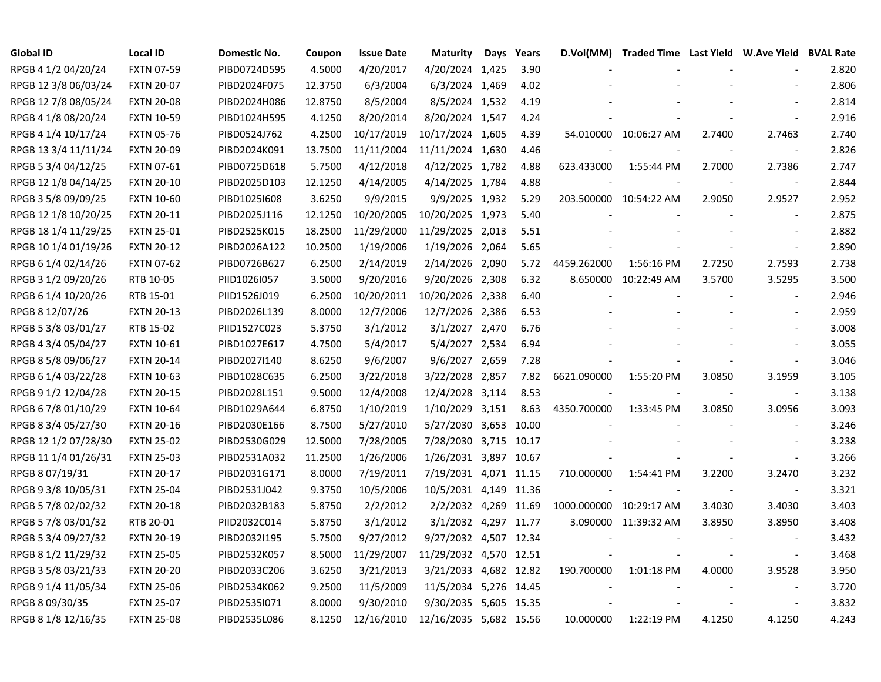| <b>Global ID</b>     | <b>Local ID</b>   | Domestic No. | Coupon  | <b>Issue Date</b> | <b>Maturity</b>        | Days | Years | D.Vol(MM)               |                        |        | Traded Time Last Yield W.Ave Yield BVAL Rate |       |
|----------------------|-------------------|--------------|---------|-------------------|------------------------|------|-------|-------------------------|------------------------|--------|----------------------------------------------|-------|
| RPGB 4 1/2 04/20/24  | <b>FXTN 07-59</b> | PIBD0724D595 | 4.5000  | 4/20/2017         | 4/20/2024 1,425        |      | 3.90  |                         |                        |        |                                              | 2.820 |
| RPGB 12 3/8 06/03/24 | <b>FXTN 20-07</b> | PIBD2024F075 | 12.3750 | 6/3/2004          | 6/3/2024 1,469         |      | 4.02  |                         |                        |        |                                              | 2.806 |
| RPGB 12 7/8 08/05/24 | <b>FXTN 20-08</b> | PIBD2024H086 | 12.8750 | 8/5/2004          | 8/5/2024 1,532         |      | 4.19  |                         |                        |        |                                              | 2.814 |
| RPGB 4 1/8 08/20/24  | <b>FXTN 10-59</b> | PIBD1024H595 | 4.1250  | 8/20/2014         | 8/20/2024 1,547        |      | 4.24  |                         |                        |        |                                              | 2.916 |
| RPGB 4 1/4 10/17/24  | <b>FXTN 05-76</b> | PIBD0524J762 | 4.2500  | 10/17/2019        | 10/17/2024 1,605       |      | 4.39  |                         | 54.010000 10:06:27 AM  | 2.7400 | 2.7463                                       | 2.740 |
| RPGB 13 3/4 11/11/24 | <b>FXTN 20-09</b> | PIBD2024K091 | 13.7500 | 11/11/2004        | 11/11/2024 1,630       |      | 4.46  |                         |                        |        | $\overline{\phantom{a}}$                     | 2.826 |
| RPGB 5 3/4 04/12/25  | FXTN 07-61        | PIBD0725D618 | 5.7500  | 4/12/2018         | 4/12/2025 1,782        |      | 4.88  | 623.433000              | 1:55:44 PM             | 2.7000 | 2.7386                                       | 2.747 |
| RPGB 12 1/8 04/14/25 | <b>FXTN 20-10</b> | PIBD2025D103 | 12.1250 | 4/14/2005         | 4/14/2025 1,784        |      | 4.88  |                         |                        |        | $\overline{\phantom{a}}$                     | 2.844 |
| RPGB 3 5/8 09/09/25  | <b>FXTN 10-60</b> | PIBD1025I608 | 3.6250  | 9/9/2015          | 9/9/2025 1,932         |      | 5.29  |                         | 203.500000 10:54:22 AM | 2.9050 | 2.9527                                       | 2.952 |
| RPGB 12 1/8 10/20/25 | <b>FXTN 20-11</b> | PIBD2025J116 | 12.1250 | 10/20/2005        | 10/20/2025 1,973       |      | 5.40  |                         |                        |        | $\overline{\phantom{a}}$                     | 2.875 |
| RPGB 18 1/4 11/29/25 | <b>FXTN 25-01</b> | PIBD2525K015 | 18.2500 | 11/29/2000        | 11/29/2025 2,013       |      | 5.51  |                         |                        |        | $\overline{\phantom{a}}$                     | 2.882 |
| RPGB 10 1/4 01/19/26 | <b>FXTN 20-12</b> | PIBD2026A122 | 10.2500 | 1/19/2006         | 1/19/2026 2,064        |      | 5.65  |                         |                        |        | $\blacksquare$                               | 2.890 |
| RPGB 6 1/4 02/14/26  | <b>FXTN 07-62</b> | PIBD0726B627 | 6.2500  | 2/14/2019         | 2/14/2026 2,090        |      | 5.72  | 4459.262000             | 1:56:16 PM             | 2.7250 | 2.7593                                       | 2.738 |
| RPGB 3 1/2 09/20/26  | RTB 10-05         | PIID1026I057 | 3.5000  | 9/20/2016         | 9/20/2026 2,308        |      | 6.32  |                         | 8.650000 10:22:49 AM   | 3.5700 | 3.5295                                       | 3.500 |
| RPGB 6 1/4 10/20/26  | RTB 15-01         | PIID1526J019 | 6.2500  | 10/20/2011        | 10/20/2026 2,338       |      | 6.40  |                         |                        |        |                                              | 2.946 |
| RPGB 8 12/07/26      | <b>FXTN 20-13</b> | PIBD2026L139 | 8.0000  | 12/7/2006         | 12/7/2026 2,386        |      | 6.53  |                         |                        |        |                                              | 2.959 |
| RPGB 5 3/8 03/01/27  | RTB 15-02         | PIID1527C023 | 5.3750  | 3/1/2012          | 3/1/2027 2,470         |      | 6.76  |                         |                        |        |                                              | 3.008 |
| RPGB 4 3/4 05/04/27  | <b>FXTN 10-61</b> | PIBD1027E617 | 4.7500  | 5/4/2017          | 5/4/2027 2,534         |      | 6.94  |                         |                        |        |                                              | 3.055 |
| RPGB 8 5/8 09/06/27  | <b>FXTN 20-14</b> | PIBD2027I140 | 8.6250  | 9/6/2007          | 9/6/2027 2,659         |      | 7.28  |                         |                        |        | $\overline{\phantom{a}}$                     | 3.046 |
| RPGB 6 1/4 03/22/28  | <b>FXTN 10-63</b> | PIBD1028C635 | 6.2500  | 3/22/2018         | 3/22/2028 2,857        |      | 7.82  | 6621.090000             | 1:55:20 PM             | 3.0850 | 3.1959                                       | 3.105 |
| RPGB 9 1/2 12/04/28  | <b>FXTN 20-15</b> | PIBD2028L151 | 9.5000  | 12/4/2008         | 12/4/2028 3,114        |      | 8.53  |                         |                        |        | $\blacksquare$                               | 3.138 |
| RPGB 6 7/8 01/10/29  | <b>FXTN 10-64</b> | PIBD1029A644 | 6.8750  | 1/10/2019         | 1/10/2029 3,151        |      | 8.63  | 4350.700000             | 1:33:45 PM             | 3.0850 | 3.0956                                       | 3.093 |
| RPGB 8 3/4 05/27/30  | <b>FXTN 20-16</b> | PIBD2030E166 | 8.7500  | 5/27/2010         | 5/27/2030 3,653 10.00  |      |       |                         |                        |        | $\overline{\phantom{a}}$                     | 3.246 |
| RPGB 12 1/2 07/28/30 | <b>FXTN 25-02</b> | PIBD2530G029 | 12.5000 | 7/28/2005         | 7/28/2030 3,715 10.17  |      |       |                         |                        |        | $\blacksquare$                               | 3.238 |
| RPGB 11 1/4 01/26/31 | <b>FXTN 25-03</b> | PIBD2531A032 | 11.2500 | 1/26/2006         | 1/26/2031 3,897 10.67  |      |       |                         |                        |        | $\overline{\phantom{a}}$                     | 3.266 |
| RPGB 8 07/19/31      | <b>FXTN 20-17</b> | PIBD2031G171 | 8.0000  | 7/19/2011         | 7/19/2031 4,071 11.15  |      |       | 710.000000              | 1:54:41 PM             | 3.2200 | 3.2470                                       | 3.232 |
| RPGB 9 3/8 10/05/31  | <b>FXTN 25-04</b> | PIBD2531J042 | 9.3750  | 10/5/2006         | 10/5/2031 4,149 11.36  |      |       |                         |                        |        | $\overline{\phantom{a}}$                     | 3.321 |
| RPGB 5 7/8 02/02/32  | <b>FXTN 20-18</b> | PIBD2032B183 | 5.8750  | 2/2/2012          | 2/2/2032 4,269 11.69   |      |       | 1000.000000 10:29:17 AM |                        | 3.4030 | 3.4030                                       | 3.403 |
| RPGB 5 7/8 03/01/32  | RTB 20-01         | PIID2032C014 | 5.8750  | 3/1/2012          | 3/1/2032 4,297 11.77   |      |       |                         | 3.090000 11:39:32 AM   | 3.8950 | 3.8950                                       | 3.408 |
| RPGB 5 3/4 09/27/32  | <b>FXTN 20-19</b> | PIBD2032I195 | 5.7500  | 9/27/2012         | 9/27/2032 4,507 12.34  |      |       |                         |                        |        | $\overline{\phantom{a}}$                     | 3.432 |
| RPGB 8 1/2 11/29/32  | <b>FXTN 25-05</b> | PIBD2532K057 | 8.5000  | 11/29/2007        | 11/29/2032 4,570 12.51 |      |       |                         |                        |        | $\overline{\phantom{a}}$                     | 3.468 |
| RPGB 3 5/8 03/21/33  | <b>FXTN 20-20</b> | PIBD2033C206 | 3.6250  | 3/21/2013         | 3/21/2033 4,682 12.82  |      |       | 190.700000              | 1:01:18 PM             | 4.0000 | 3.9528                                       | 3.950 |
| RPGB 9 1/4 11/05/34  | <b>FXTN 25-06</b> | PIBD2534K062 | 9.2500  | 11/5/2009         | 11/5/2034 5,276 14.45  |      |       |                         |                        |        |                                              | 3.720 |
| RPGB 8 09/30/35      | <b>FXTN 25-07</b> | PIBD2535I071 | 8.0000  | 9/30/2010         | 9/30/2035 5,605 15.35  |      |       |                         |                        |        | $\overline{\phantom{a}}$                     | 3.832 |
| RPGB 8 1/8 12/16/35  | <b>FXTN 25-08</b> | PIBD2535L086 | 8.1250  | 12/16/2010        | 12/16/2035 5,682 15.56 |      |       | 10.000000               | 1:22:19 PM             | 4.1250 | 4.1250                                       | 4.243 |